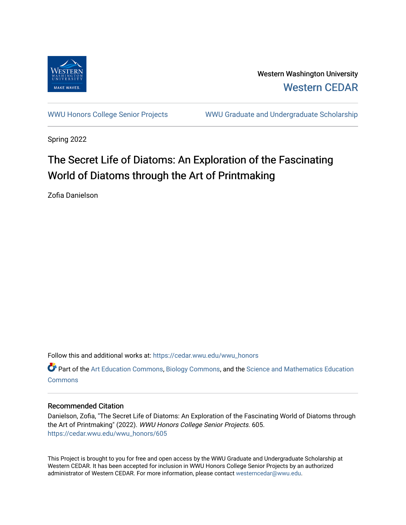

Western Washington University [Western CEDAR](https://cedar.wwu.edu/) 

[WWU Honors College Senior Projects](https://cedar.wwu.edu/wwu_honors) [WWU Graduate and Undergraduate Scholarship](https://cedar.wwu.edu/grad_ugrad_schol) 

Spring 2022

## The Secret Life of Diatoms: An Exploration of the Fascinating World of Diatoms through the Art of Printmaking

Zofia Danielson

Follow this and additional works at: [https://cedar.wwu.edu/wwu\\_honors](https://cedar.wwu.edu/wwu_honors?utm_source=cedar.wwu.edu%2Fwwu_honors%2F605&utm_medium=PDF&utm_campaign=PDFCoverPages) 

**C** Part of the [Art Education Commons](https://network.bepress.com/hgg/discipline/1149?utm_source=cedar.wwu.edu%2Fwwu_honors%2F605&utm_medium=PDF&utm_campaign=PDFCoverPages), [Biology Commons,](https://network.bepress.com/hgg/discipline/41?utm_source=cedar.wwu.edu%2Fwwu_honors%2F605&utm_medium=PDF&utm_campaign=PDFCoverPages) and the Science and Mathematics Education **[Commons](https://network.bepress.com/hgg/discipline/800?utm_source=cedar.wwu.edu%2Fwwu_honors%2F605&utm_medium=PDF&utm_campaign=PDFCoverPages)** 

#### Recommended Citation

Danielson, Zofia, "The Secret Life of Diatoms: An Exploration of the Fascinating World of Diatoms through the Art of Printmaking" (2022). WWU Honors College Senior Projects. 605. [https://cedar.wwu.edu/wwu\\_honors/605](https://cedar.wwu.edu/wwu_honors/605?utm_source=cedar.wwu.edu%2Fwwu_honors%2F605&utm_medium=PDF&utm_campaign=PDFCoverPages)

This Project is brought to you for free and open access by the WWU Graduate and Undergraduate Scholarship at Western CEDAR. It has been accepted for inclusion in WWU Honors College Senior Projects by an authorized administrator of Western CEDAR. For more information, please contact [westerncedar@wwu.edu](mailto:westerncedar@wwu.edu).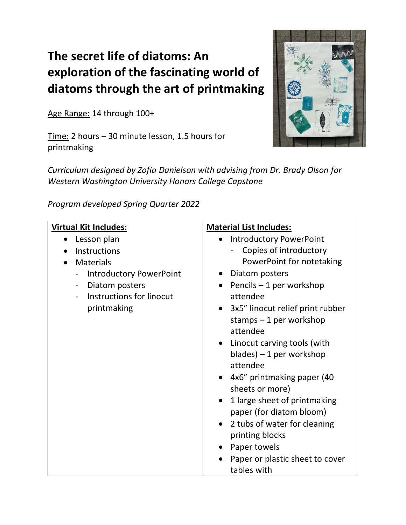# **The secret life of diatoms: An exploration of the fascinating world of diatoms through the art of printmaking**

Age Range: 14 through 100+

Time: 2 hours – 30 minute lesson, 1.5 hours for printmaking



*Curriculum designed by Zofia Danielson with advising from Dr. Brady Olson for Western Washington University Honors College Capstone*

*Program developed Spring Quarter 2022*

| <b>Virtual Kit Includes:</b>                   | <b>Material List Includes:</b>            |
|------------------------------------------------|-------------------------------------------|
| Lesson plan                                    | <b>Introductory PowerPoint</b>            |
| Instructions                                   | Copies of introductory                    |
| <b>Materials</b>                               | PowerPoint for notetaking                 |
| <b>Introductory PowerPoint</b><br>-            | Diatom posters                            |
| Diatom posters<br>$\qquad \qquad \blacksquare$ | Pencils $-1$ per workshop                 |
| Instructions for linocut                       | attendee                                  |
| printmaking                                    | 3x5" linocut relief print rubber          |
|                                                | stamps $-1$ per workshop                  |
|                                                | attendee                                  |
|                                                | Linocut carving tools (with               |
|                                                | $blades$ ) – 1 per workshop               |
|                                                | attendee                                  |
|                                                | 4x6" printmaking paper (40                |
|                                                | sheets or more)                           |
|                                                | 1 large sheet of printmaking              |
|                                                | paper (for diatom bloom)                  |
|                                                | 2 tubs of water for cleaning<br>$\bullet$ |
|                                                | printing blocks                           |
|                                                | Paper towels                              |
|                                                | Paper or plastic sheet to cover           |
|                                                | tables with                               |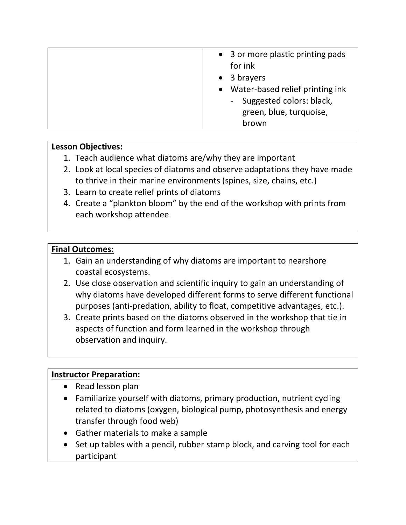|  | • 3 or more plastic printing pads<br>for ink<br>$\bullet$ 3 brayers<br>• Water-based relief printing ink<br>- Suggested colors: black,<br>green, blue, turquoise,<br>brown |
|--|----------------------------------------------------------------------------------------------------------------------------------------------------------------------------|
|--|----------------------------------------------------------------------------------------------------------------------------------------------------------------------------|

#### **Lesson Objectives:**

- 1. Teach audience what diatoms are/why they are important
- 2. Look at local species of diatoms and observe adaptations they have made to thrive in their marine environments (spines, size, chains, etc.)
- 3. Learn to create relief prints of diatoms
- 4. Create a "plankton bloom" by the end of the workshop with prints from each workshop attendee

#### **Final Outcomes:**

- 1. Gain an understanding of why diatoms are important to nearshore coastal ecosystems.
- 2. Use close observation and scientific inquiry to gain an understanding of why diatoms have developed different forms to serve different functional purposes (anti-predation, ability to float, competitive advantages, etc.).
- 3. Create prints based on the diatoms observed in the workshop that tie in aspects of function and form learned in the workshop through observation and inquiry.

#### **Instructor Preparation:**

- Read lesson plan
- Familiarize yourself with diatoms, primary production, nutrient cycling related to diatoms (oxygen, biological pump, photosynthesis and energy transfer through food web)
- Gather materials to make a sample
- Set up tables with a pencil, rubber stamp block, and carving tool for each participant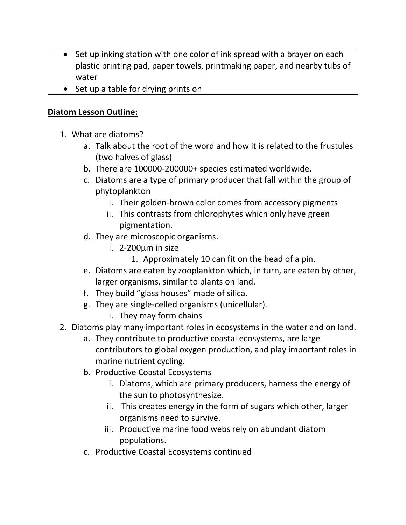- Set up inking station with one color of ink spread with a brayer on each plastic printing pad, paper towels, printmaking paper, and nearby tubs of water
- Set up a table for drying prints on

#### **Diatom Lesson Outline:**

- 1. What are diatoms?
	- a. Talk about the root of the word and how it is related to the frustules (two halves of glass)
	- b. There are 100000-200000+ species estimated worldwide.
	- c. Diatoms are a type of primary producer that fall within the group of phytoplankton
		- i. Their golden-brown color comes from accessory pigments
		- ii. This contrasts from chlorophytes which only have green pigmentation.
	- d. They are microscopic organisms.
		- i. 2-200µm in size
			- 1. Approximately 10 can fit on the head of a pin.
	- e. Diatoms are eaten by zooplankton which, in turn, are eaten by other, larger organisms, similar to plants on land.
	- f. They build "glass houses" made of silica.
	- g. They are single-celled organisms (unicellular).
		- i. They may form chains
- 2. Diatoms play many important roles in ecosystems in the water and on land.
	- a. They contribute to productive coastal ecosystems, are large contributors to global oxygen production, and play important roles in marine nutrient cycling.
	- b. Productive Coastal Ecosystems
		- i. Diatoms, which are primary producers, harness the energy of the sun to photosynthesize.
		- ii. This creates energy in the form of sugars which other, larger organisms need to survive.
		- iii. Productive marine food webs rely on abundant diatom populations.
	- c. Productive Coastal Ecosystems continued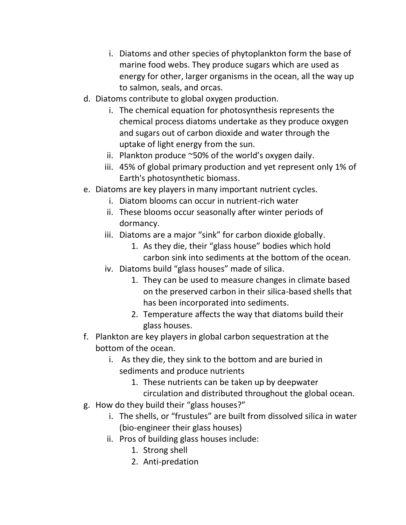- i. Diatoms and other species of phytoplankton form the base of marine food webs. They produce sugars which are used as energy for other, larger organisms in the ocean, all the way up to salmon, seals, and orcas.
- d. Diatoms contribute to global oxygen production.
	- i. The chemical equation for photosynthesis represents the chemical process diatoms undertake as they produce oxygen and sugars out of carbon dioxide and water through the uptake of light energy from the sun.
	- ii. Plankton produce  $\sim$ 50% of the world's oxygen daily.
	- iii. 45% of global primary production and yet represent only 1% of Earth's photosynthetic biomass.
- e. Diatoms are key players in many important nutrient cycles.
	- i. Diatom blooms can occur in nutrient-rich water
	- ii. These blooms occur seasonally after winter periods of dormancy.
	- iii. Diatoms are a major "sink" for carbon dioxide globally.
		- 1. As they die, their "glass house" bodies which hold carbon sink into sediments at the bottom of the ocean.
	- iv. Diatoms build "glass houses" made of silica.
		- 1. They can be used to measure changes in climate based on the preserved carbon in their silica-based shells that has been incorporated into sediments.
		- 2. Temperature affects the way that diatoms build their glass houses.
- f. Plankton are key players in global carbon sequestration at the bottom of the ocean.
	- i. As they die, they sink to the bottom and are buried in sediments and produce nutrients
		- 1. These nutrients can be taken up by deepwater circulation and distributed throughout the global ocean.
- g. How do they build their "glass houses?"
	- i. The shells, or "frustules" are built from dissolved silica in water (bio-engineer their glass houses)
	- ii. Pros of building glass houses include:
		- 1. Strong shell
		- 2. Anti-predation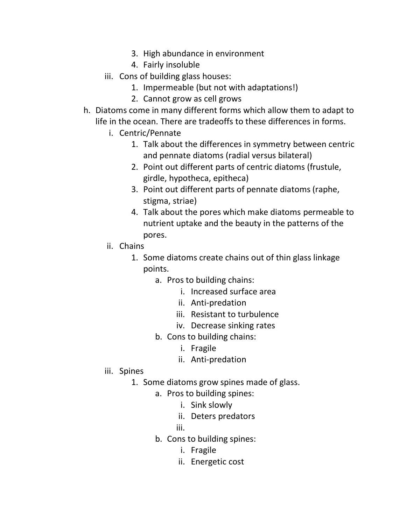- 3. High abundance in environment
- 4. Fairly insoluble
- iii. Cons of building glass houses:
	- 1. Impermeable (but not with adaptations!)
	- 2. Cannot grow as cell grows
- h. Diatoms come in many different forms which allow them to adapt to life in the ocean. There are tradeoffs to these differences in forms.
	- i. Centric/Pennate
		- 1. Talk about the differences in symmetry between centric and pennate diatoms (radial versus bilateral)
		- 2. Point out different parts of centric diatoms (frustule, girdle, hypotheca, epitheca)
		- 3. Point out different parts of pennate diatoms (raphe, stigma, striae)
		- 4. Talk about the pores which make diatoms permeable to nutrient uptake and the beauty in the patterns of the pores.
	- ii. Chains
		- 1. Some diatoms create chains out of thin glass linkage points.
			- a. Pros to building chains:
				- i. Increased surface area
				- ii. Anti-predation
				- iii. Resistant to turbulence
				- iv. Decrease sinking rates
			- b. Cons to building chains:
				- i. Fragile
				- ii. Anti-predation
	- iii. Spines
		- 1. Some diatoms grow spines made of glass.
			- a. Pros to building spines:
				- i. Sink slowly
				- ii. Deters predators
				- iii.
			- b. Cons to building spines:
				- i. Fragile
				- ii. Energetic cost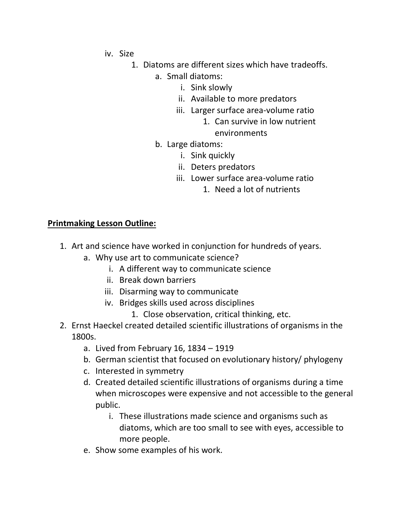- iv. Size
	- 1. Diatoms are different sizes which have tradeoffs.
		- a. Small diatoms:
			- i. Sink slowly
			- ii. Available to more predators
			- iii. Larger surface area-volume ratio
				- 1. Can survive in low nutrient environments
		- b. Large diatoms:
			- i. Sink quickly
			- ii. Deters predators
			- iii. Lower surface area-volume ratio
				- 1. Need a lot of nutrients

### **Printmaking Lesson Outline:**

- 1. Art and science have worked in conjunction for hundreds of years.
	- a. Why use art to communicate science?
		- i. A different way to communicate science
		- ii. Break down barriers
		- iii. Disarming way to communicate
		- iv. Bridges skills used across disciplines
			- 1. Close observation, critical thinking, etc.
- 2. Ernst Haeckel created detailed scientific illustrations of organisms in the 1800s.
	- a. Lived from February 16, 1834 1919
	- b. German scientist that focused on evolutionary history/ phylogeny
	- c. Interested in symmetry
	- d. Created detailed scientific illustrations of organisms during a time when microscopes were expensive and not accessible to the general public.
		- i. These illustrations made science and organisms such as diatoms, which are too small to see with eyes, accessible to more people.
	- e. Show some examples of his work.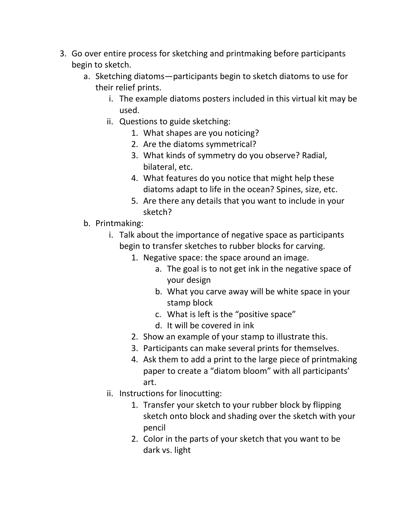- 3. Go over entire process for sketching and printmaking before participants begin to sketch.
	- a. Sketching diatoms—participants begin to sketch diatoms to use for their relief prints.
		- i. The example diatoms posters included in this virtual kit may be used.
		- ii. Questions to guide sketching:
			- 1. What shapes are you noticing?
			- 2. Are the diatoms symmetrical?
			- 3. What kinds of symmetry do you observe? Radial, bilateral, etc.
			- 4. What features do you notice that might help these diatoms adapt to life in the ocean? Spines, size, etc.
			- 5. Are there any details that you want to include in your sketch?
	- b. Printmaking:
		- i. Talk about the importance of negative space as participants begin to transfer sketches to rubber blocks for carving.
			- 1. Negative space: the space around an image.
				- a. The goal is to not get ink in the negative space of your design
				- b. What you carve away will be white space in your stamp block
				- c. What is left is the "positive space"
				- d. It will be covered in ink
			- 2. Show an example of your stamp to illustrate this.
			- 3. Participants can make several prints for themselves.
			- 4. Ask them to add a print to the large piece of printmaking paper to create a "diatom bloom" with all participants' art.
		- ii. Instructions for linocutting:
			- 1. Transfer your sketch to your rubber block by flipping sketch onto block and shading over the sketch with your pencil
			- 2. Color in the parts of your sketch that you want to be dark vs. light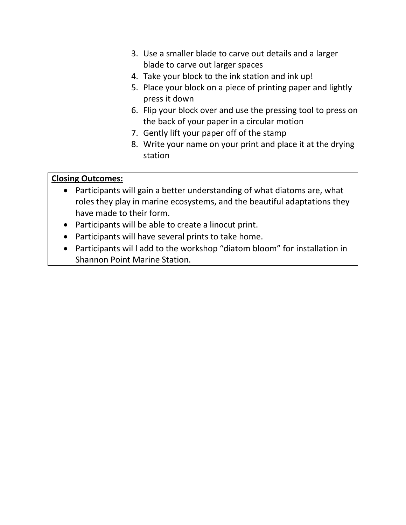- 3. Use a smaller blade to carve out details and a larger blade to carve out larger spaces
- 4. Take your block to the ink station and ink up!
- 5. Place your block on a piece of printing paper and lightly press it down
- 6. Flip your block over and use the pressing tool to press on the back of your paper in a circular motion
- 7. Gently lift your paper off of the stamp
- 8. Write your name on your print and place it at the drying station

#### **Closing Outcomes:**

- Participants will gain a better understanding of what diatoms are, what roles they play in marine ecosystems, and the beautiful adaptations they have made to their form.
- Participants will be able to create a linocut print.
- Participants will have several prints to take home.
- Participants wil l add to the workshop "diatom bloom" for installation in Shannon Point Marine Station.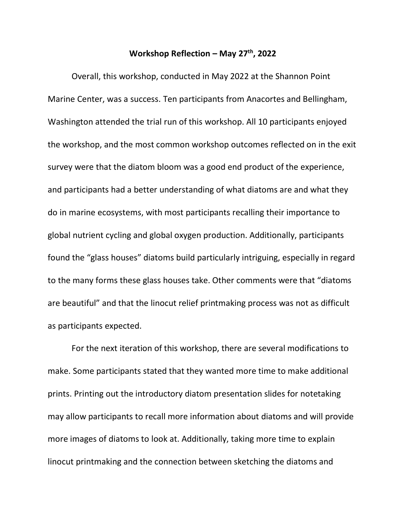#### **Workshop Reflection – May 27th, 2022**

Overall, this workshop, conducted in May 2022 at the Shannon Point Marine Center, was a success. Ten participants from Anacortes and Bellingham, Washington attended the trial run of this workshop. All 10 participants enjoyed the workshop, and the most common workshop outcomes reflected on in the exit survey were that the diatom bloom was a good end product of the experience, and participants had a better understanding of what diatoms are and what they do in marine ecosystems, with most participants recalling their importance to global nutrient cycling and global oxygen production. Additionally, participants found the "glass houses" diatoms build particularly intriguing, especially in regard to the many forms these glass houses take. Other comments were that "diatoms are beautiful" and that the linocut relief printmaking process was not as difficult as participants expected.

For the next iteration of this workshop, there are several modifications to make. Some participants stated that they wanted more time to make additional prints. Printing out the introductory diatom presentation slides for notetaking may allow participants to recall more information about diatoms and will provide more images of diatoms to look at. Additionally, taking more time to explain linocut printmaking and the connection between sketching the diatoms and